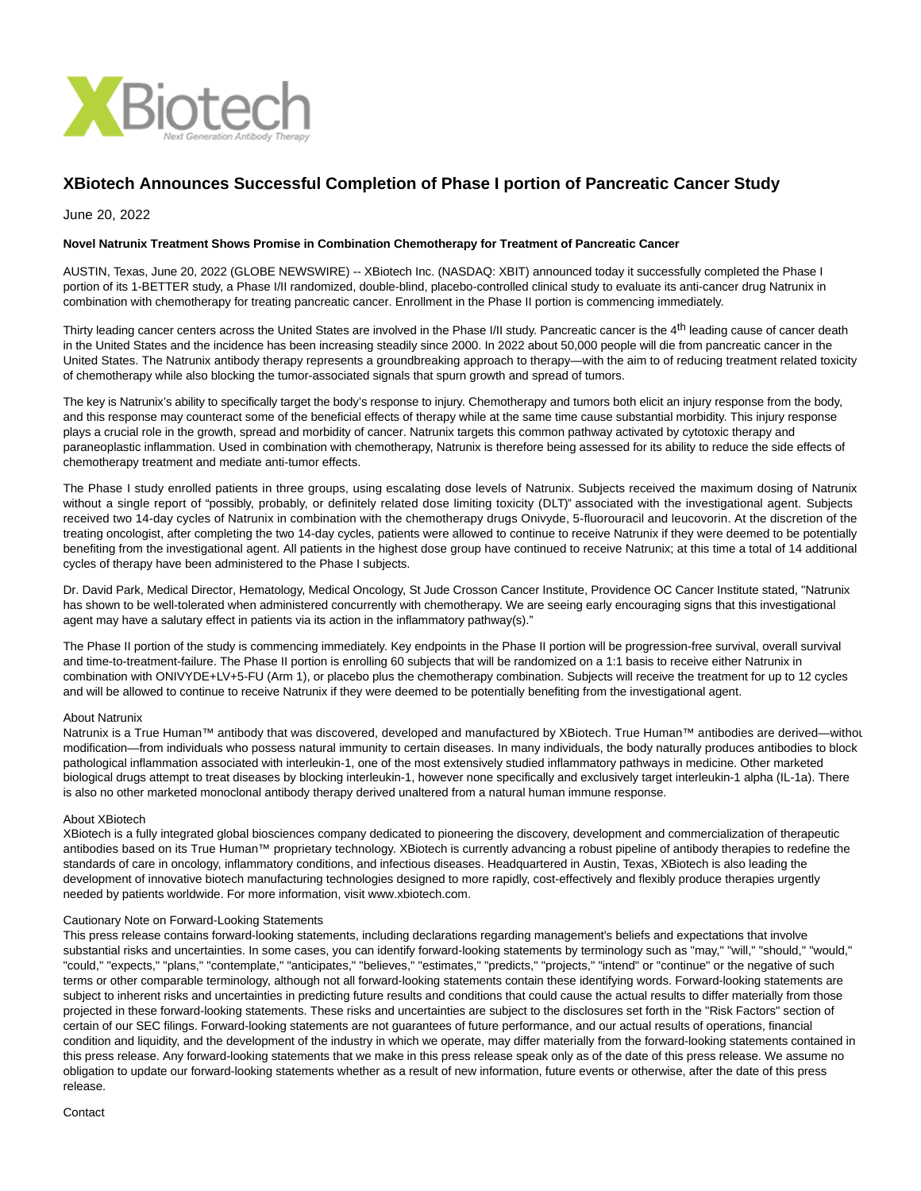

# **XBiotech Announces Successful Completion of Phase I portion of Pancreatic Cancer Study**

June 20, 2022

## **Novel Natrunix Treatment Shows Promise in Combination Chemotherapy for Treatment of Pancreatic Cancer**

AUSTIN, Texas, June 20, 2022 (GLOBE NEWSWIRE) -- XBiotech Inc. (NASDAQ: XBIT) announced today it successfully completed the Phase I portion of its 1-BETTER study, a Phase I/II randomized, double-blind, placebo-controlled clinical study to evaluate its anti-cancer drug Natrunix in combination with chemotherapy for treating pancreatic cancer. Enrollment in the Phase II portion is commencing immediately.

Thirty leading cancer centers across the United States are involved in the Phase I/II study. Pancreatic cancer is the 4<sup>th</sup> leading cause of cancer death in the United States and the incidence has been increasing steadily since 2000. In 2022 about 50,000 people will die from pancreatic cancer in the United States. The Natrunix antibody therapy represents a groundbreaking approach to therapy—with the aim to of reducing treatment related toxicity of chemotherapy while also blocking the tumor-associated signals that spurn growth and spread of tumors.

The key is Natrunix's ability to specifically target the body's response to injury. Chemotherapy and tumors both elicit an injury response from the body, and this response may counteract some of the beneficial effects of therapy while at the same time cause substantial morbidity. This injury response plays a crucial role in the growth, spread and morbidity of cancer. Natrunix targets this common pathway activated by cytotoxic therapy and paraneoplastic inflammation. Used in combination with chemotherapy, Natrunix is therefore being assessed for its ability to reduce the side effects of chemotherapy treatment and mediate anti-tumor effects.

The Phase I study enrolled patients in three groups, using escalating dose levels of Natrunix. Subjects received the maximum dosing of Natrunix without a single report of "possibly, probably, or definitely related dose limiting toxicity (DLT)" associated with the investigational agent. Subjects received two 14-day cycles of Natrunix in combination with the chemotherapy drugs Onivyde, 5-fluorouracil and leucovorin. At the discretion of the treating oncologist, after completing the two 14-day cycles, patients were allowed to continue to receive Natrunix if they were deemed to be potentially benefiting from the investigational agent. All patients in the highest dose group have continued to receive Natrunix; at this time a total of 14 additional cycles of therapy have been administered to the Phase I subjects.

Dr. David Park, Medical Director, Hematology, Medical Oncology, St Jude Crosson Cancer Institute, Providence OC Cancer Institute stated, "Natrunix has shown to be well-tolerated when administered concurrently with chemotherapy. We are seeing early encouraging signs that this investigational agent may have a salutary effect in patients via its action in the inflammatory pathway(s)."

The Phase II portion of the study is commencing immediately. Key endpoints in the Phase II portion will be progression-free survival, overall survival and time-to-treatment-failure. The Phase II portion is enrolling 60 subjects that will be randomized on a 1:1 basis to receive either Natrunix in combination with ONIVYDE+LV+5-FU (Arm 1), or placebo plus the chemotherapy combination. Subjects will receive the treatment for up to 12 cycles and will be allowed to continue to receive Natrunix if they were deemed to be potentially benefiting from the investigational agent.

#### About Natrunix

Natrunix is a True Human™ antibody that was discovered, developed and manufactured by XBiotech. True Human™ antibodies are derived—without modification—from individuals who possess natural immunity to certain diseases. In many individuals, the body naturally produces antibodies to block pathological inflammation associated with interleukin-1, one of the most extensively studied inflammatory pathways in medicine. Other marketed biological drugs attempt to treat diseases by blocking interleukin-1, however none specifically and exclusively target interleukin-1 alpha (IL-1a). There is also no other marketed monoclonal antibody therapy derived unaltered from a natural human immune response.

## About XBiotech

XBiotech is a fully integrated global biosciences company dedicated to pioneering the discovery, development and commercialization of therapeutic antibodies based on its True Human™ proprietary technology. XBiotech is currently advancing a robust pipeline of antibody therapies to redefine the standards of care in oncology, inflammatory conditions, and infectious diseases. Headquartered in Austin, Texas, XBiotech is also leading the development of innovative biotech manufacturing technologies designed to more rapidly, cost-effectively and flexibly produce therapies urgently needed by patients worldwide. For more information, visit www.xbiotech.com.

#### Cautionary Note on Forward-Looking Statements

This press release contains forward-looking statements, including declarations regarding management's beliefs and expectations that involve substantial risks and uncertainties. In some cases, you can identify forward-looking statements by terminology such as "may," "will," "should," "would," "could," "expects," "plans," "contemplate," "anticipates," "believes," "estimates," "predicts," "projects," "intend" or "continue" or the negative of such terms or other comparable terminology, although not all forward-looking statements contain these identifying words. Forward-looking statements are subject to inherent risks and uncertainties in predicting future results and conditions that could cause the actual results to differ materially from those projected in these forward-looking statements. These risks and uncertainties are subject to the disclosures set forth in the "Risk Factors" section of certain of our SEC filings. Forward-looking statements are not guarantees of future performance, and our actual results of operations, financial condition and liquidity, and the development of the industry in which we operate, may differ materially from the forward-looking statements contained in this press release. Any forward-looking statements that we make in this press release speak only as of the date of this press release. We assume no obligation to update our forward-looking statements whether as a result of new information, future events or otherwise, after the date of this press release.